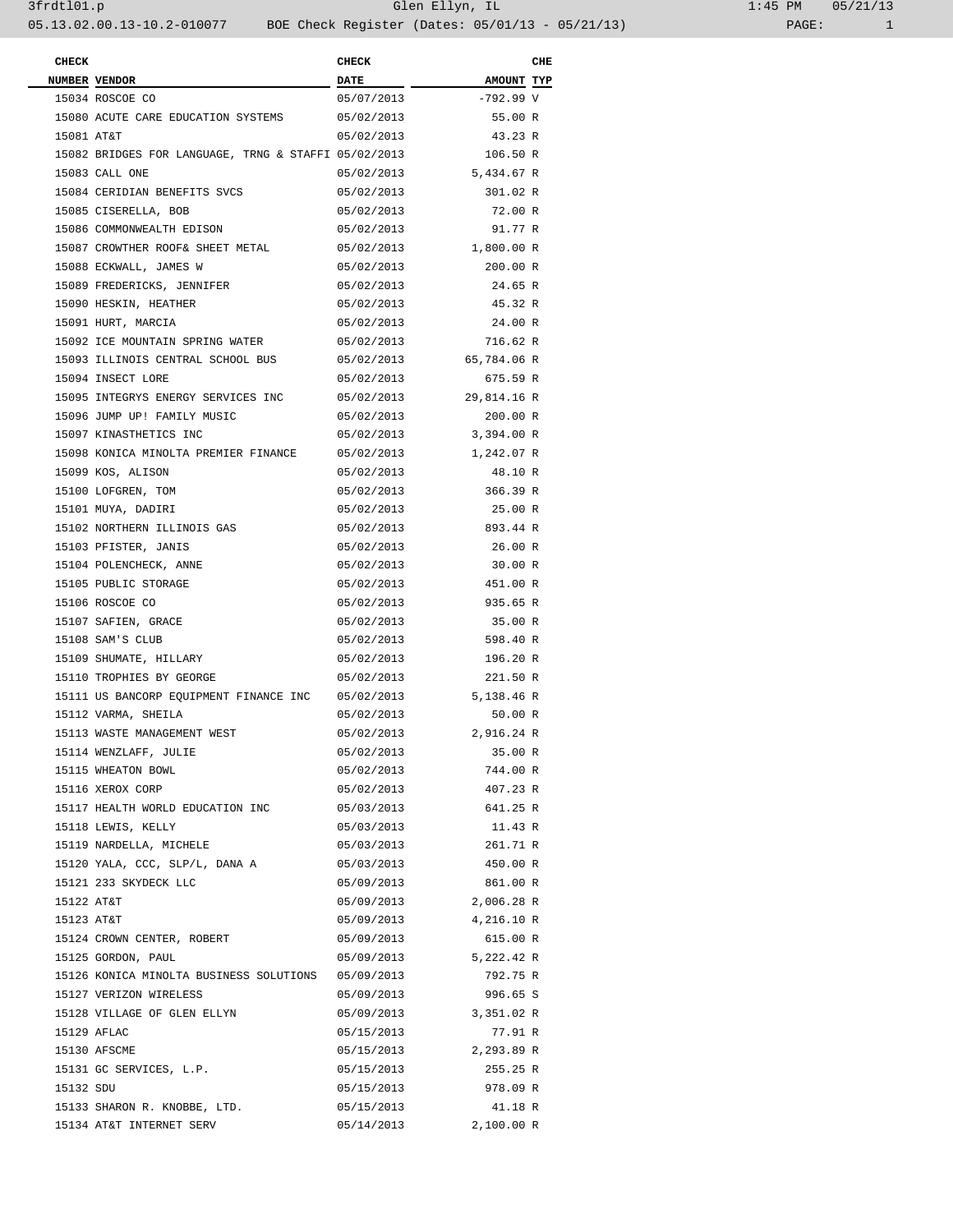| <b>CHECK</b> |                                                      | <b>CHECK</b> |                        | CHE |
|--------------|------------------------------------------------------|--------------|------------------------|-----|
|              | NUMBER VENDOR                                        | <b>DATE</b>  | AMOUNT TYP             |     |
|              | 15034 ROSCOE CO                                      | 05/07/2013   | $-792.99$ V            |     |
|              | 15080 ACUTE CARE EDUCATION SYSTEMS                   | 05/02/2013   | 55.00 R                |     |
| 15081 AT&T   |                                                      | 05/02/2013   | 43.23 R                |     |
|              | 15082 BRIDGES FOR LANGUAGE, TRNG & STAFFI 05/02/2013 |              | 106.50 R               |     |
|              | 15083 CALL ONE                                       |              | 05/02/2013 5,434.67 R  |     |
|              | 15084 CERIDIAN BENEFITS SVCS                         | 05/02/2013   | 301.02 R               |     |
|              | 15085 CISERELLA, BOB                                 | 05/02/2013   | 72.00 R                |     |
|              | 15086 COMMONWEALTH EDISON                            | 05/02/2013   | 91.77 R                |     |
|              | 15087 CROWTHER ROOF& SHEET METAL                     |              | 05/02/2013 1,800.00 R  |     |
|              | 15088 ECKWALL, JAMES W                               | 05/02/2013   | 200.00 R               |     |
|              | 15089 FREDERICKS, JENNIFER                           | 05/02/2013   | 24.65 R                |     |
|              | 15090 HESKIN, HEATHER                                | 05/02/2013   | 45.32 R                |     |
|              | 15091 HURT, MARCIA                                   | 05/02/2013   | 24.00 R                |     |
|              | 15092 ICE MOUNTAIN SPRING WATER                      | 05/02/2013   | 716.62 R               |     |
|              | 15093 ILLINOIS CENTRAL SCHOOL BUS                    |              | 05/02/2013 65,784.06 R |     |
|              | 15094 INSECT LORE                                    | 05/02/2013   | 675.59 R               |     |
|              | 15095 INTEGRYS ENERGY SERVICES INC                   |              | 05/02/2013 29,814.16 R |     |
|              | 15096 JUMP UP! FAMILY MUSIC                          | 05/02/2013   | 200.00 R               |     |
|              | 15097 KINASTHETICS INC                               |              | 05/02/2013 3,394.00 R  |     |
|              | 15098 KONICA MINOLTA PREMIER FINANCE                 |              | 05/02/2013 1,242.07 R  |     |
|              | 15099 KOS, ALISON                                    | 05/02/2013   | 48.10 R                |     |
|              | 15100 LOFGREN, TOM                                   | 05/02/2013   | 366.39 R               |     |
|              | 15101 MUYA, DADIRI                                   | 05/02/2013   | 25.00 R                |     |
|              | 15102 NORTHERN ILLINOIS GAS                          |              | 05/02/2013 893.44 R    |     |
|              | 15103 PFISTER, JANIS                                 | 05/02/2013   | 26.00 R                |     |
|              | 15104 POLENCHECK, ANNE                               | 05/02/2013   | 30.00 R                |     |
|              | 15105 PUBLIC STORAGE                                 | 05/02/2013   | 451.00 R               |     |
|              | 15106 ROSCOE CO                                      | 05/02/2013   | 935.65 R               |     |
|              | 15107 SAFIEN, GRACE                                  | 05/02/2013   | 35.00 R                |     |
|              | 15108 SAM'S CLUB                                     | 05/02/2013   | 598.40 R               |     |
|              | 15109 SHUMATE, HILLARY                               | 05/02/2013   | 196.20 R               |     |
|              | 15110 TROPHIES BY GEORGE                             | 05/02/2013   | 221.50 R               |     |
|              | 15111 US BANCORP EQUIPMENT FINANCE INC               |              | 05/02/2013 5,138.46 R  |     |
|              | 15112 VARMA, SHEILA                                  | 05/02/2013   | 50.00 R                |     |
|              | 15113 WASTE MANAGEMENT WEST                          | 05/02/2013   | 2,916.24 R             |     |
|              | 15114 WENZLAFF, JULIE                                | 05/02/2013   | 35.00 R                |     |
|              | 15115 WHEATON BOWL                                   | 05/02/2013   | 744.00 R               |     |
|              | 15116 XEROX CORP                                     | 05/02/2013   | 407.23 R               |     |
|              | 15117 HEALTH WORLD EDUCATION INC                     |              | 05/03/2013 641.25 R    |     |
|              | 15118 LEWIS, KELLY                                   | 05/03/2013   | 11.43 R                |     |
|              | 15119 NARDELLA, MICHELE                              |              | 05/03/2013 261.71 R    |     |
|              | 15120 YALA, CCC, SLP/L, DANA A                       | 05/03/2013   | 450.00 R               |     |
|              | 15121 233 SKYDECK LLC                                |              | 05/09/2013 861.00 R    |     |
| 15122 AT&T   |                                                      |              | 05/09/2013 2,006.28 R  |     |
| 15123 AT&T   |                                                      |              | 05/09/2013 4,216.10 R  |     |
|              | 15124 CROWN CENTER, ROBERT                           | 05/09/2013   | 615.00 R               |     |
|              | 15125 GORDON, PAUL                                   |              | 05/09/2013 5,222.42 R  |     |
|              | 15126 KONICA MINOLTA BUSINESS SOLUTIONS 05/09/2013   |              | 792.75 R               |     |
|              | 15127 VERIZON WIRELESS                               | 05/09/2013   | 996.65 S               |     |
|              | 15128 VILLAGE OF GLEN ELLYN                          |              | 05/09/2013 3,351.02 R  |     |
|              | 15129 AFLAC                                          | 05/15/2013   | 77.91 R                |     |
|              | 15130 AFSCME                                         |              | 05/15/2013 2,293.89 R  |     |
|              | 15131 GC SERVICES, L.P.                              | 05/15/2013   | 255.25 R               |     |
| 15132 SDU    |                                                      | 05/15/2013   | 978.09 R               |     |
|              | 15133 SHARON R. KNOBBE, LTD.                         | 05/15/2013   | 41.18 R                |     |
|              | 15134 AT&T INTERNET SERV                             | 05/14/2013   | 2,100.00 R             |     |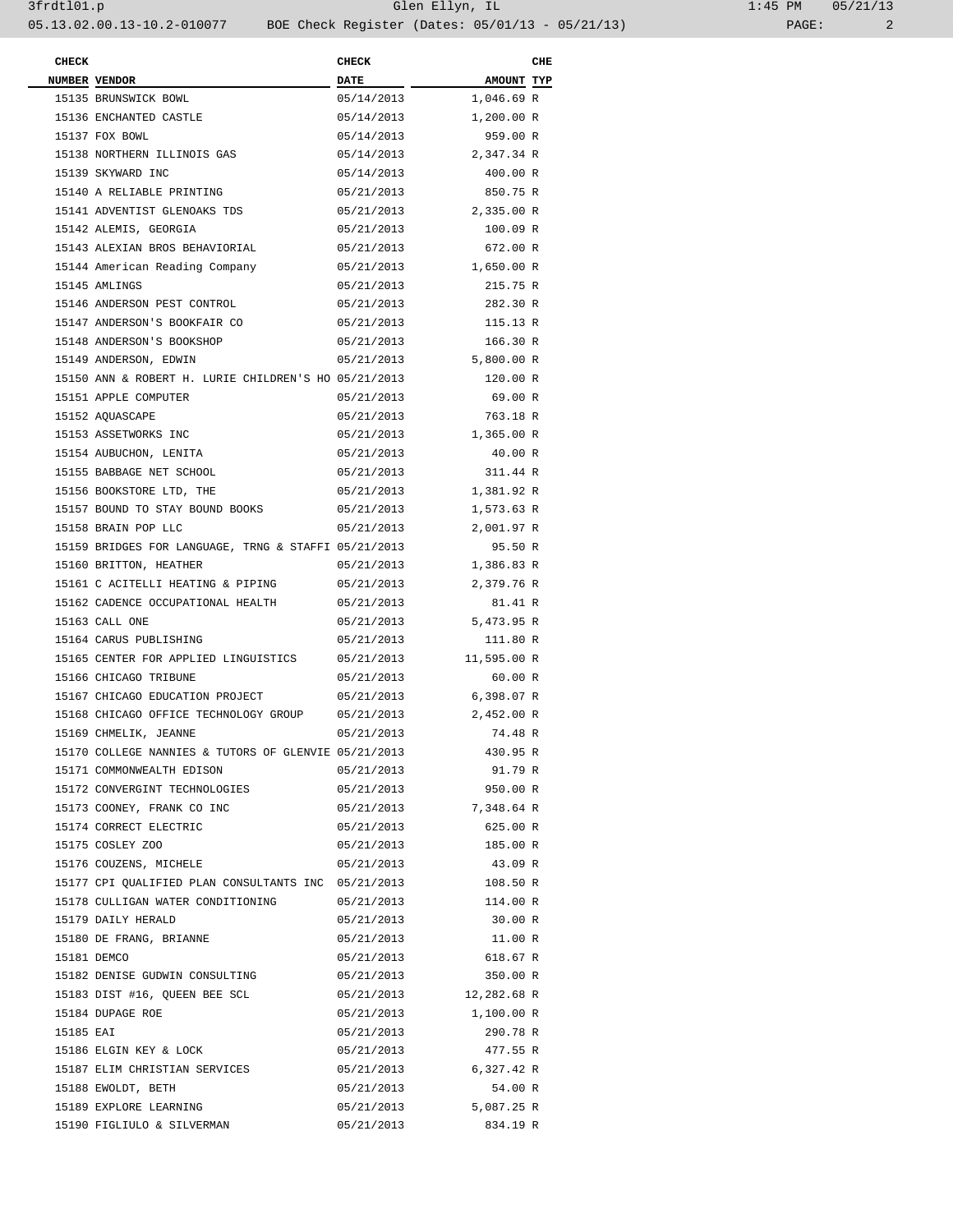| $1:45$ PM |       | 05/21/13 |
|-----------|-------|----------|
|           | PAGE: |          |

| <b>CHECK</b> |                                                      | <b>CHECK</b> |                        | CHE |
|--------------|------------------------------------------------------|--------------|------------------------|-----|
|              | NUMBER VENDOR                                        | <b>DATE</b>  | AMOUNT TYP             |     |
|              | 15135 BRUNSWICK BOWL                                 | 05/14/2013   | 1,046.69 R             |     |
|              | 15136 ENCHANTED CASTLE                               | 05/14/2013   | 1,200.00 R             |     |
|              | 15137 FOX BOWL                                       | 05/14/2013   | 959.00 R               |     |
|              | 15138 NORTHERN ILLINOIS GAS                          | 05/14/2013   | 2,347.34 R             |     |
|              | 15139 SKYWARD INC                                    | 05/14/2013   | 400.00 R               |     |
|              | 15140 A RELIABLE PRINTING                            | 05/21/2013   | 850.75 R               |     |
|              | 15141 ADVENTIST GLENOAKS TDS                         |              | 05/21/2013 2,335.00 R  |     |
|              | 15142 ALEMIS, GEORGIA                                | 05/21/2013   | 100.09 R               |     |
|              | 15143 ALEXIAN BROS BEHAVIORIAL                       | 05/21/2013   | 672.00 R               |     |
|              | 15144 American Reading Company                       |              | 05/21/2013 1,650.00 R  |     |
|              | 15145 AMLINGS                                        | 05/21/2013   | 215.75 R               |     |
|              | 15146 ANDERSON PEST CONTROL                          | 05/21/2013   | 282.30 R               |     |
|              | 15147 ANDERSON'S BOOKFAIR CO                         | 05/21/2013   | 115.13 R               |     |
|              | 15148 ANDERSON'S BOOKSHOP                            | 05/21/2013   | 166.30 R               |     |
|              | 15149 ANDERSON, EDWIN                                | 05/21/2013   | 5,800.00 R             |     |
|              | 15150 ANN & ROBERT H. LURIE CHILDREN'S HO 05/21/2013 |              | 120.00 R               |     |
|              | 15151 APPLE COMPUTER                                 | 05/21/2013   | 69.00 R                |     |
|              | 15152 AQUASCAPE                                      | 05/21/2013   | 763.18 R               |     |
|              | 15153 ASSETWORKS INC                                 |              | 05/21/2013 1,365.00 R  |     |
|              | 15154 AUBUCHON, LENITA                               | 05/21/2013   | 40.00 R                |     |
|              | 15155 BABBAGE NET SCHOOL                             | 05/21/2013   | 311.44 R               |     |
|              | 15156 BOOKSTORE LTD, THE                             | 05/21/2013   | 1,381.92 R             |     |
|              | 15157 BOUND TO STAY BOUND BOOKS                      | 05/21/2013   | 1,573.63 R             |     |
|              | 15158 BRAIN POP LLC                                  | 05/21/2013   | 2,001.97 R             |     |
|              | 15159 BRIDGES FOR LANGUAGE, TRNG & STAFFI 05/21/2013 |              | 95.50 R                |     |
|              | 15160 BRITTON, HEATHER                               |              |                        |     |
|              |                                                      | 05/21/2013   | 1,386.83 R             |     |
|              | 15161 C ACITELLI HEATING & PIPING                    | 05/21/2013   | 2,379.76 R             |     |
|              | 15162 CADENCE OCCUPATIONAL HEALTH                    | 05/21/2013   | 81.41 R                |     |
|              | 15163 CALL ONE                                       | 05/21/2013   | 5,473.95 R             |     |
|              | 15164 CARUS PUBLISHING                               | 05/21/2013   | 111.80 R               |     |
|              | 15165 CENTER FOR APPLIED LINGUISTICS                 |              | 05/21/2013 11,595.00 R |     |
|              | 15166 CHICAGO TRIBUNE                                | 05/21/2013   | 60.00 R                |     |
|              | 15167 CHICAGO EDUCATION PROJECT                      | 05/21/2013   | 6,398.07 R             |     |
|              | 15168 CHICAGO OFFICE TECHNOLOGY GROUP                | 05/21/2013   | 2,452.00 R             |     |
|              | 15169 CHMELIK, JEANNE                                | 05/21/2013   | 74.48 R                |     |
|              | 15170 COLLEGE NANNIES & TUTORS OF GLENVIE 05/21/2013 |              | 430.95 R               |     |
|              | 15171 COMMONWEALTH EDISON                            | 05/21/2013   | 91.79 R                |     |
|              | 15172 CONVERGINT TECHNOLOGIES                        | 05/21/2013   | 950.00 R               |     |
|              | 15173 COONEY, FRANK CO INC                           |              | 05/21/2013 7,348.64 R  |     |
|              | 15174 CORRECT ELECTRIC                               | 05/21/2013   | 625.00 R               |     |
|              | 15175 COSLEY ZOO                                     | 05/21/2013   | 185.00 R               |     |
|              | 15176 COUZENS, MICHELE                               | 05/21/2013   | 43.09 R                |     |
|              | 15177 CPI QUALIFIED PLAN CONSULTANTS INC 05/21/2013  |              | 108.50 R               |     |
|              | 15178 CULLIGAN WATER CONDITIONING                    | 05/21/2013   | 114.00 R               |     |
|              | 15179 DAILY HERALD                                   | 05/21/2013   | 30.00 R                |     |
|              | 15180 DE FRANG, BRIANNE                              | 05/21/2013   | 11.00 R                |     |
|              | 15181 DEMCO                                          | 05/21/2013   | 618.67 R               |     |
|              | 15182 DENISE GUDWIN CONSULTING                       | 05/21/2013   | 350.00 R               |     |
|              | 15183 DIST #16, QUEEN BEE SCL                        |              | 05/21/2013 12,282.68 R |     |
|              | 15184 DUPAGE ROE                                     |              | 05/21/2013 1,100.00 R  |     |
| 15185 EAI    |                                                      | 05/21/2013   | 290.78 R               |     |
|              | 15186 ELGIN KEY & LOCK                               | 05/21/2013   | 477.55 R               |     |
|              | 15187 ELIM CHRISTIAN SERVICES                        |              | 05/21/2013 6,327.42 R  |     |
|              | 15188 EWOLDT, BETH                                   | 05/21/2013   | 54.00 R                |     |
|              | 15189 EXPLORE LEARNING                               | 05/21/2013   | 5,087.25 R             |     |
|              | 15190 FIGLIULO & SILVERMAN                           | 05/21/2013   | 834.19 R               |     |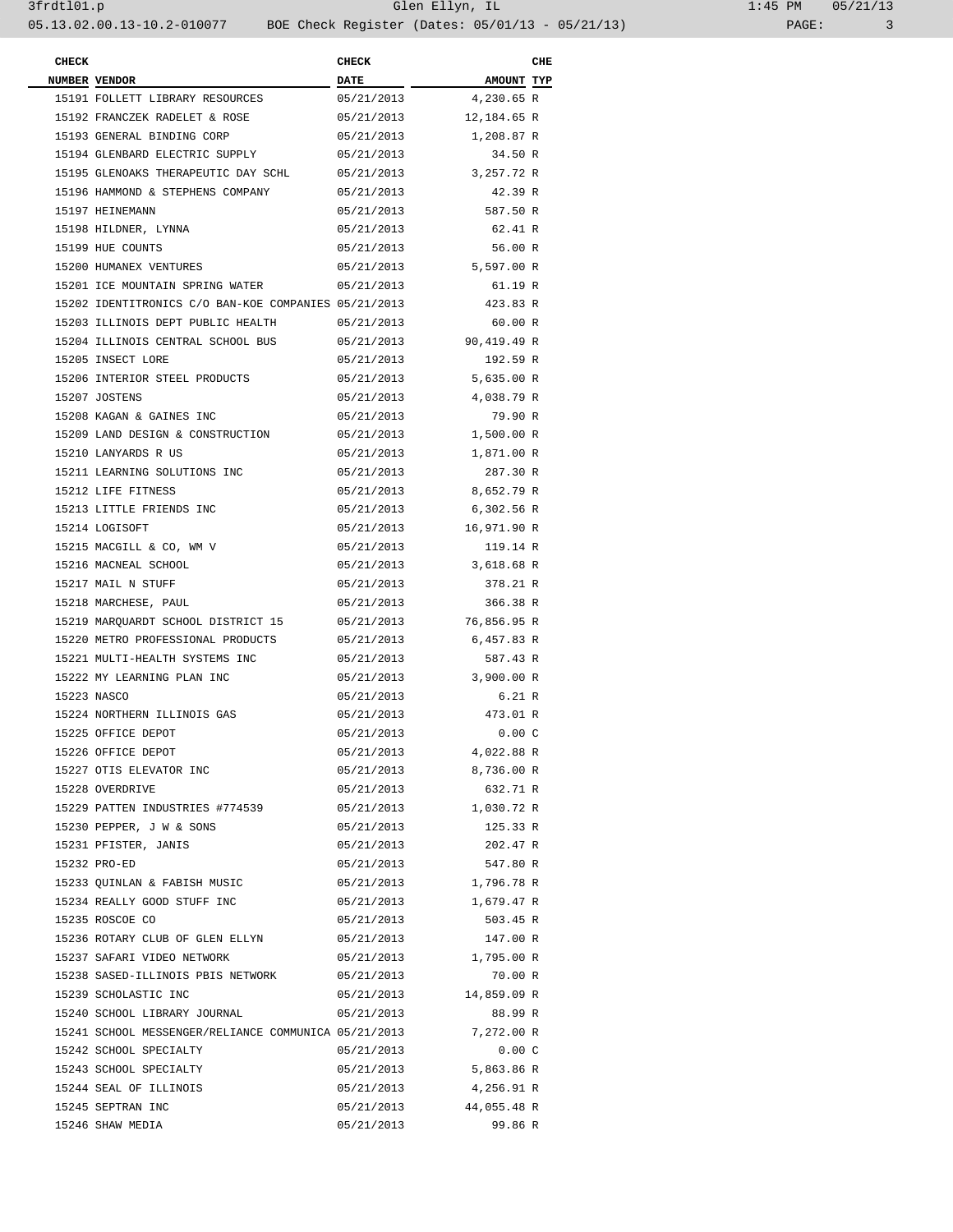| l:45 PM |       | 05/21/13 |
|---------|-------|----------|
|         | PAGE: |          |

| <b>CHECK</b> |                                                      | <b>CHECK</b> |             | CHE |
|--------------|------------------------------------------------------|--------------|-------------|-----|
|              | NUMBER VENDOR                                        | DATE         | AMOUNT TYP  |     |
|              | 15191 FOLLETT LIBRARY RESOURCES                      | 05/21/2013   | 4,230.65 R  |     |
|              | 15192 FRANCZEK RADELET & ROSE                        | 05/21/2013   | 12,184.65 R |     |
|              | 15193 GENERAL BINDING CORP                           | 05/21/2013   | 1,208.87 R  |     |
|              | 15194 GLENBARD ELECTRIC SUPPLY                       | 05/21/2013   | 34.50 R     |     |
|              | 15195 GLENOAKS THERAPEUTIC DAY SCHL                  | 05/21/2013   | 3,257.72 R  |     |
|              | 15196 HAMMOND & STEPHENS COMPANY                     | 05/21/2013   | 42.39 R     |     |
|              | 15197 HEINEMANN                                      | 05/21/2013   | 587.50 R    |     |
|              | 15198 HILDNER, LYNNA                                 | 05/21/2013   | 62.41 R     |     |
|              | 15199 HUE COUNTS                                     | 05/21/2013   | 56.00 R     |     |
|              | 15200 HUMANEX VENTURES                               | 05/21/2013   | 5,597.00 R  |     |
|              | 15201 ICE MOUNTAIN SPRING WATER                      | 05/21/2013   | 61.19 R     |     |
|              | 15202 IDENTITRONICS C/O BAN-KOE COMPANIES 05/21/2013 |              | 423.83 R    |     |
|              | 15203 ILLINOIS DEPT PUBLIC HEALTH                    | 05/21/2013   | 60.00 R     |     |
|              | 15204 ILLINOIS CENTRAL SCHOOL BUS                    | 05/21/2013   | 90,419.49 R |     |
|              | 15205 INSECT LORE                                    | 05/21/2013   | 192.59 R    |     |
|              | 15206 INTERIOR STEEL PRODUCTS                        | 05/21/2013   | 5,635.00 R  |     |
|              | 15207 JOSTENS                                        | 05/21/2013   | 4,038.79 R  |     |
|              | 15208 KAGAN & GAINES INC                             | 05/21/2013   | 79.90 R     |     |
|              | 15209 LAND DESIGN & CONSTRUCTION                     | 05/21/2013   | 1,500.00 R  |     |
|              | 15210 LANYARDS R US                                  | 05/21/2013   | 1,871.00 R  |     |
|              | 15211 LEARNING SOLUTIONS INC                         | 05/21/2013   | 287.30 R    |     |
|              | 15212 LIFE FITNESS                                   | 05/21/2013   | 8,652.79 R  |     |
|              | 15213 LITTLE FRIENDS INC                             | 05/21/2013   | 6,302.56 R  |     |
|              | 15214 LOGISOFT                                       | 05/21/2013   | 16,971.90 R |     |
|              | 15215 MACGILL & CO, WM V                             | 05/21/2013   | 119.14 R    |     |
|              | 15216 MACNEAL SCHOOL                                 | 05/21/2013   | 3,618.68 R  |     |
|              | 15217 MAIL N STUFF                                   | 05/21/2013   | 378.21 R    |     |
|              | 15218 MARCHESE, PAUL                                 | 05/21/2013   | 366.38 R    |     |
|              | 15219 MARQUARDT SCHOOL DISTRICT 15                   | 05/21/2013   | 76,856.95 R |     |
|              | 15220 METRO PROFESSIONAL PRODUCTS                    | 05/21/2013   | 6,457.83 R  |     |
|              | 15221 MULTI-HEALTH SYSTEMS INC                       | 05/21/2013   | 587.43 R    |     |
|              | 15222 MY LEARNING PLAN INC                           | 05/21/2013   | 3,900.00 R  |     |
|              | 15223 NASCO                                          | 05/21/2013   | 6.21 R      |     |
|              | 15224 NORTHERN ILLINOIS GAS                          | 05/21/2013   | 473.01 R    |     |
|              | 15225 OFFICE DEPOT                                   | 05/21/2013   | 0.00C       |     |
|              | 15226 OFFICE DEPOT                                   | 05/21/2013   | 4,022.88 R  |     |
|              | 15227 OTIS ELEVATOR INC                              | 05/21/2013   | 8,736.00 R  |     |
|              | 15228 OVERDRIVE                                      | 05/21/2013   | 632.71 R    |     |
|              | 15229 PATTEN INDUSTRIES #774539                      | 05/21/2013   | 1,030.72 R  |     |
|              | 15230 PEPPER, J W & SONS                             | 05/21/2013   | 125.33 R    |     |
|              | 15231 PFISTER, JANIS                                 | 05/21/2013   | 202.47 R    |     |
|              | 15232 PRO-ED                                         | 05/21/2013   | 547.80 R    |     |
|              | 15233 OUINLAN & FABISH MUSIC                         | 05/21/2013   | 1,796.78 R  |     |
|              | 15234 REALLY GOOD STUFF INC                          | 05/21/2013   | 1,679.47 R  |     |
|              | 15235 ROSCOE CO                                      | 05/21/2013   | 503.45 R    |     |
|              | 15236 ROTARY CLUB OF GLEN ELLYN                      | 05/21/2013   | 147.00 R    |     |
|              | 15237 SAFARI VIDEO NETWORK                           | 05/21/2013   | 1,795.00 R  |     |
|              | 15238 SASED-ILLINOIS PBIS NETWORK                    | 05/21/2013   | 70.00 R     |     |
|              | 15239 SCHOLASTIC INC                                 | 05/21/2013   | 14,859.09 R |     |
|              | 15240 SCHOOL LIBRARY JOURNAL                         |              |             |     |
|              |                                                      | 05/21/2013   | 88.99 R     |     |
|              | 15241 SCHOOL MESSENGER/RELIANCE COMMUNICA 05/21/2013 |              | 7,272.00 R  |     |
|              | 15242 SCHOOL SPECIALTY                               | 05/21/2013   | 0.00C       |     |
|              | 15243 SCHOOL SPECIALTY                               | 05/21/2013   | 5,863.86 R  |     |
|              | 15244 SEAL OF ILLINOIS                               | 05/21/2013   | 4,256.91 R  |     |
|              | 15245 SEPTRAN INC                                    | 05/21/2013   | 44,055.48 R |     |
|              | 15246 SHAW MEDIA                                     | 05/21/2013   | 99.86 R     |     |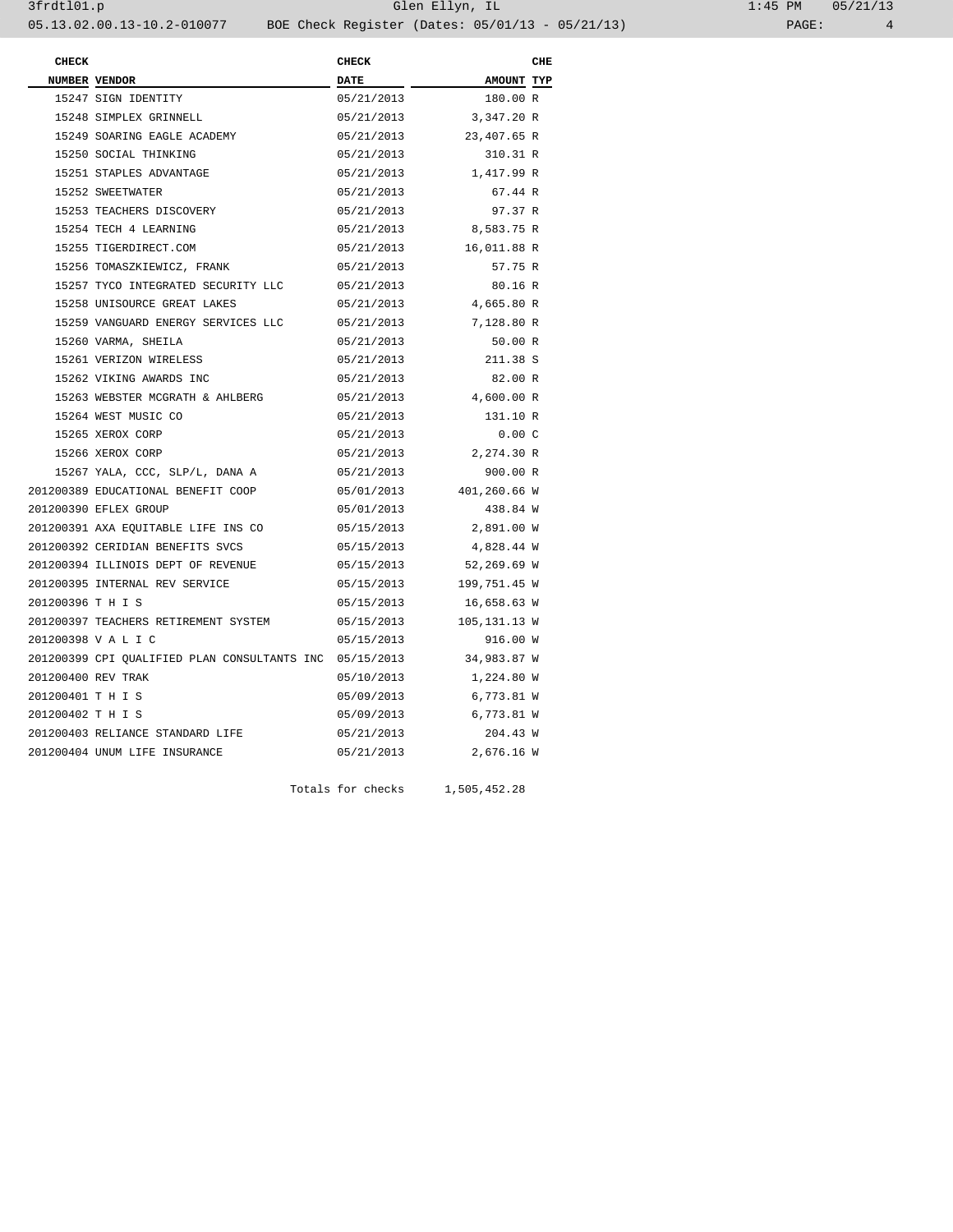| $1:45$ PM |       | 05/21/13 |
|-----------|-------|----------|
|           | PAGE: | 4        |

| <b>CHECK</b>       |                                                         | <b>CHECK</b> |                         | CHE |
|--------------------|---------------------------------------------------------|--------------|-------------------------|-----|
|                    | NUMBER VENDOR                                           | <b>DATE</b>  | AMOUNT TYP              |     |
|                    | 15247 SIGN IDENTITY                                     | 05/21/2013   | 180.00 R                |     |
|                    | 15248 SIMPLEX GRINNELL                                  | 05/21/2013   | 3,347.20 R              |     |
|                    | 15249 SOARING EAGLE ACADEMY                             |              | 05/21/2013 23,407.65 R  |     |
|                    | 15250 SOCIAL THINKING                                   | 05/21/2013   | 310.31 R                |     |
|                    | 15251 STAPLES ADVANTAGE                                 | 05/21/2013   | 1,417.99 R              |     |
|                    | 15252 SWEETWATER                                        | 05/21/2013   | 67.44 R                 |     |
|                    | 15253 TEACHERS DISCOVERY                                | 05/21/2013   | 97.37 R                 |     |
|                    | 15254 TECH 4 LEARNING                                   | 05/21/2013   | 8,583.75 R              |     |
|                    | 15255 TIGERDIRECT.COM                                   | 05/21/2013   | 16,011.88 R             |     |
|                    | 15256 TOMASZKIEWICZ, FRANK                              | 05/21/2013   | 57.75 R                 |     |
|                    | 15257 TYCO INTEGRATED SECURITY LLC                      | 05/21/2013   | 80.16 R                 |     |
|                    | 15258 UNISOURCE GREAT LAKES                             | 05/21/2013   | 4,665.80 R              |     |
|                    | 15259 VANGUARD ENERGY SERVICES LLC                      | 05/21/2013   | 7,128.80 R              |     |
|                    | 15260 VARMA, SHEILA                                     | 05/21/2013   | 50.00 R                 |     |
|                    | 15261 VERIZON WIRELESS                                  | 05/21/2013   | 211.38 S                |     |
|                    | 15262 VIKING AWARDS INC                                 | 05/21/2013   | 82.00 R                 |     |
|                    | 15263 WEBSTER MCGRATH & AHLBERG                         | 05/21/2013   | 4,600.00 R              |     |
|                    | 15264 WEST MUSIC CO                                     | 05/21/2013   | 131.10 R                |     |
|                    | 15265 XEROX CORP                                        | 05/21/2013   | 0.00C                   |     |
|                    | 15266 XEROX CORP                                        | 05/21/2013   | 2,274.30 R              |     |
|                    | 15267 YALA, CCC, SLP/L, DANA A                          | 05/21/2013   | 900.00 R                |     |
|                    | 201200389 EDUCATIONAL BENEFIT COOP                      | 05/01/2013   | 401,260.66 W            |     |
|                    | 201200390 EFLEX GROUP                                   | 05/01/2013   | 438.84 W                |     |
|                    | 201200391 AXA EQUITABLE LIFE INS CO                     | 05/15/2013   | 2,891.00 W              |     |
|                    | 201200392 CERIDIAN BENEFITS SVCS                        | 05/15/2013   | 4,828.44 W              |     |
|                    | 201200394 ILLINOIS DEPT OF REVENUE                      | 05/15/2013   | 52,269.69 W             |     |
|                    | 201200395 INTERNAL REV SERVICE                          |              | 05/15/2013 199,751.45 W |     |
| 201200396 T H I S  |                                                         | 05/15/2013   | 16,658.63 W             |     |
|                    | 201200397 TEACHERS RETIREMENT SYSTEM                    |              | 05/15/2013 105,131.13 W |     |
|                    | 201200398 V A L I C                                     | 05/15/2013   | 916.00 W                |     |
|                    | 201200399 CPI OUALIFIED PLAN CONSULTANTS INC 05/15/2013 |              | 34,983.87 W             |     |
| 201200400 REV TRAK |                                                         | 05/10/2013   | 1,224.80 W              |     |
| 201200401 TH IS    |                                                         | 05/09/2013   | 6,773.81 W              |     |
| 201200402 TH IS    |                                                         | 05/09/2013   | 6,773.81 W              |     |
|                    | 201200403 RELIANCE STANDARD LIFE                        | 05/21/2013   | 204.43 W                |     |
|                    | 201200404 UNUM LIFE INSURANCE                           | 05/21/2013   | 2,676.16 W              |     |

Totals for checks 1,505,452.28